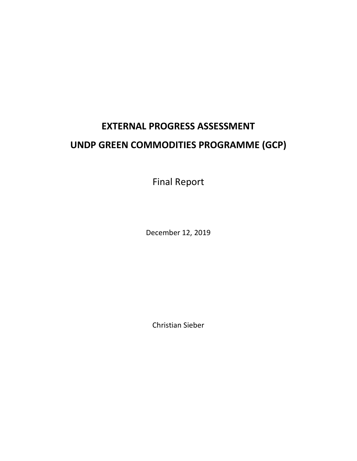# **EXTERNAL PROGRESS ASSESSMENT UNDP GREEN COMMODITIES PROGRAMME (GCP)**

Final Report

December 12, 2019

Christian Sieber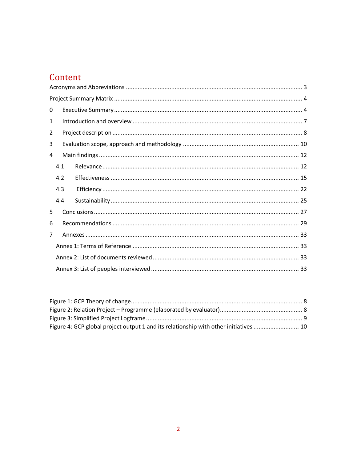## Content

| 0 |     |  |  |  |
|---|-----|--|--|--|
| 1 |     |  |  |  |
| 2 |     |  |  |  |
| 3 |     |  |  |  |
| 4 |     |  |  |  |
|   | 4.1 |  |  |  |
|   | 4.2 |  |  |  |
|   | 4.3 |  |  |  |
|   | 4.4 |  |  |  |
| 5 |     |  |  |  |
| 6 |     |  |  |  |
| 7 |     |  |  |  |
|   |     |  |  |  |
|   |     |  |  |  |
|   |     |  |  |  |

| Figure 4: GCP global project output 1 and its relationship with other initiatives  10 |  |
|---------------------------------------------------------------------------------------|--|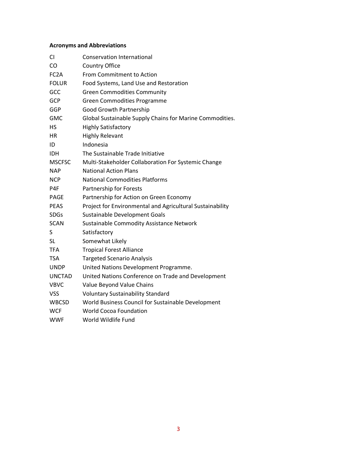## <span id="page-2-0"></span>**Acronyms and Abbreviations**

| CI                | <b>Conservation International</b>                         |
|-------------------|-----------------------------------------------------------|
| CO                | <b>Country Office</b>                                     |
| FC <sub>2</sub> A | From Commitment to Action                                 |
| <b>FOLUR</b>      | Food Systems, Land Use and Restoration                    |
| GCC               | <b>Green Commodities Community</b>                        |
| <b>GCP</b>        | <b>Green Commodities Programme</b>                        |
| <b>GGP</b>        | <b>Good Growth Partnership</b>                            |
| <b>GMC</b>        | Global Sustainable Supply Chains for Marine Commodities.  |
| HS                | <b>Highly Satisfactory</b>                                |
| HR.               | <b>Highly Relevant</b>                                    |
| ID                | Indonesia                                                 |
| <b>IDH</b>        | The Sustainable Trade Initiative                          |
| <b>MSCFSC</b>     | Multi-Stakeholder Collaboration For Systemic Change       |
| <b>NAP</b>        | <b>National Action Plans</b>                              |
| <b>NCP</b>        | <b>National Commodities Platforms</b>                     |
| P4F               | Partnership for Forests                                   |
| <b>PAGE</b>       | Partnership for Action on Green Economy                   |
| <b>PEAS</b>       | Project for Environmental and Agricultural Sustainability |
| <b>SDGs</b>       | Sustainable Development Goals                             |
| <b>SCAN</b>       | Sustainable Commodity Assistance Network                  |
| S                 | Satisfactory                                              |
| <b>SL</b>         | Somewhat Likely                                           |
| <b>TFA</b>        | <b>Tropical Forest Alliance</b>                           |
| <b>TSA</b>        | <b>Targeted Scenario Analysis</b>                         |
| <b>UNDP</b>       | United Nations Development Programme.                     |
| <b>UNCTAD</b>     | United Nations Conference on Trade and Development        |
| <b>VBVC</b>       | Value Beyond Value Chains                                 |
| <b>VSS</b>        | <b>Voluntary Sustainability Standard</b>                  |
| <b>WBCSD</b>      | World Business Council for Sustainable Development        |
| WCF               | <b>World Cocoa Foundation</b>                             |
| <b>WWF</b>        | World Wildlife Fund                                       |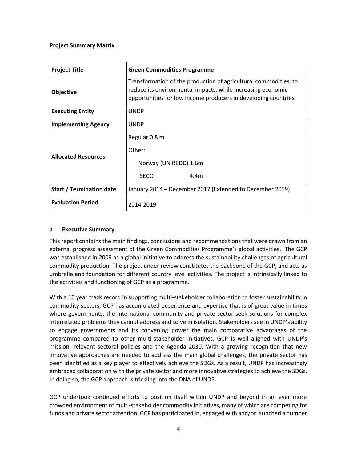## <span id="page-3-0"></span>**Project Summary Matrix**

| <b>Project Title</b>            | <b>Green Commodities Programme</b>                                                                                                                                                                 |
|---------------------------------|----------------------------------------------------------------------------------------------------------------------------------------------------------------------------------------------------|
| <b>Objective</b>                | Transformation of the production of agricultural commodities, to<br>reduce its environmental impacts, while increasing economic<br>opportunities for low income producers in developing countries. |
| <b>Executing Entity</b>         | <b>UNDP</b>                                                                                                                                                                                        |
| <b>Implementing Agency</b>      | <b>UNDP</b>                                                                                                                                                                                        |
|                                 | Regular 0.8 m                                                                                                                                                                                      |
| <b>Allocated Resources</b>      | Other:                                                                                                                                                                                             |
|                                 | Norway (UN REDD) 1.6m                                                                                                                                                                              |
|                                 | <b>SECO</b><br>4.4 <sub>m</sub>                                                                                                                                                                    |
| <b>Start / Termination date</b> | January 2014 - December 2017 (Extended to December 2019)                                                                                                                                           |
| <b>Evaluation Period</b>        | 2014-2019                                                                                                                                                                                          |

## <span id="page-3-1"></span>**0 Executive Summary**

This report contains the main findings, conclusions and recommendations that were drawn from an external progress assessment of the Green Commodities Programme's global activities. The GCP was established in 2009 as a global initiative to address the sustainability challenges of agricultural commodity production. The project under review constitutes the backbone of the GCP, and acts as umbrella and foundation for different country level activities. The project is intrinsically linked to the activities and functioning of GCP as a programme.

With a 10 year track record in supporting multi-stakeholder collaboration to foster sustainability in commodity sectors, GCP has accumulated experience and expertise that is of great value in times where governments, the international community and private sector seek solutions for complex interrelated problems they cannot address and solve in isolation. Stakeholders see in UNDP's ability to engage governments and its convening power the main comparative advantages of the programme compared to other multi-stakeholder initiatives. GCP is well aligned with UNDP's mission, relevant sectoral policies and the Agenda 2030. With a growing recognition that new innovative approaches are needed to address the main global challenges, the private sector has been identified as a key player to effectively achieve the SDGs. As a result, UNDP has increasingly embraced collaboration with the private sector and more innovative strategies to achieve the SDGs. In doing so, the GCP approach is trickling into the DNA of UNDP.

GCP undertook continued efforts to position itself within UNDP and beyond in an ever more crowded environment of multi-stakeholder commodity initiatives, many of which are competing for funds and private sector attention. GCP has participated in, engaged with and/or launched a number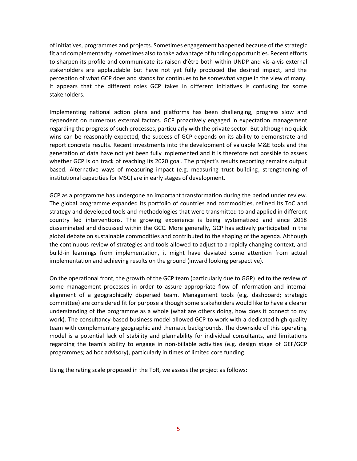of initiatives, programmes and projects. Sometimes engagement happened because of the strategic fit and complementarity, sometimes also to take advantage of funding opportunities. Recent efforts to sharpen its profile and communicate its raison d'être both within UNDP and vis-a-vis external stakeholders are applaudable but have not yet fully produced the desired impact, and the perception of what GCP does and stands for continues to be somewhat vague in the view of many. It appears that the different roles GCP takes in different initiatives is confusing for some stakeholders.

Implementing national action plans and platforms has been challenging, progress slow and dependent on numerous external factors. GCP proactively engaged in expectation management regarding the progress of such processes, particularly with the private sector. But although no quick wins can be reasonably expected, the success of GCP depends on its ability to demonstrate and report concrete results. Recent investments into the development of valuable M&E tools and the generation of data have not yet been fully implemented and it is therefore not possible to assess whether GCP is on track of reaching its 2020 goal. The project's results reporting remains output based. Alternative ways of measuring impact (e.g. measuring trust building; strengthening of institutional capacities for MSC) are in early stages of development.

GCP as a programme has undergone an important transformation during the period under review. The global programme expanded its portfolio of countries and commodities, refined its ToC and strategy and developed tools and methodologies that were transmitted to and applied in different country led interventions. The growing experience is being systematized and since 2018 disseminated and discussed within the GCC. More generally, GCP has actively participated in the global debate on sustainable commodities and contributed to the shaping of the agenda. Although the continuous review of strategies and tools allowed to adjust to a rapidly changing context, and build-in learnings from implementation, it might have deviated some attention from actual implementation and achieving results on the ground (inward looking perspective).

On the operational front, the growth of the GCP team (particularly due to GGP) led to the review of some management processes in order to assure appropriate flow of information and internal alignment of a geographically dispersed team. Management tools (e.g. dashboard; strategic committee) are considered fit for purpose although some stakeholders would like to have a clearer understanding of the programme as a whole (what are others doing, how does it connect to my work). The consultancy-based business model allowed GCP to work with a dedicated high quality team with complementary geographic and thematic backgrounds. The downside of this operating model is a potential lack of stability and plannability for individual consultants, and limitations regarding the team's ability to engage in non-billable activities (e.g. design stage of GEF/GCP programmes; ad hoc advisory), particularly in times of limited core funding.

Using the rating scale proposed in the ToR, we assess the project as follows: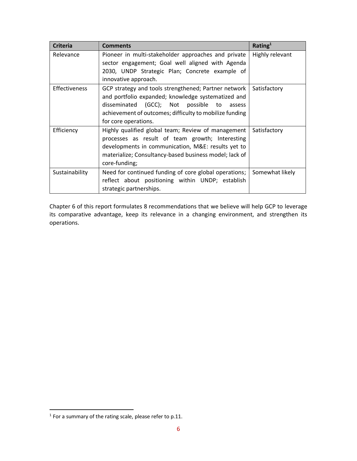| <b>Criteria</b>                                                                                                                                        | <b>Comments</b>                                                                                                                                                                                                                        | Rating <sup>1</sup> |
|--------------------------------------------------------------------------------------------------------------------------------------------------------|----------------------------------------------------------------------------------------------------------------------------------------------------------------------------------------------------------------------------------------|---------------------|
| Pioneer in multi-stakeholder approaches and private<br>Relevance<br>sector engagement; Goal well aligned with Agenda                                   |                                                                                                                                                                                                                                        | Highly relevant     |
|                                                                                                                                                        | 2030, UNDP Strategic Plan; Concrete example of<br>innovative approach.                                                                                                                                                                 |                     |
| <b>Effectiveness</b>                                                                                                                                   | Satisfactory                                                                                                                                                                                                                           |                     |
| Efficiency                                                                                                                                             | Highly qualified global team; Review of management<br>processes as result of team growth; Interesting<br>developments in communication, M&E: results yet to<br>materialize; Consultancy-based business model; lack of<br>core-funding; | Satisfactory        |
| Need for continued funding of core global operations;<br>Sustainability<br>reflect about positioning within UNDP; establish<br>strategic partnerships. |                                                                                                                                                                                                                                        | Somewhat likely     |

Chapter 6 of this report formulates 8 recommendations that we believe will help GCP to leverage its comparative advantage, keep its relevance in a changing environment, and strengthen its operations.

 $1$  For a summary of the rating scale, please refer to p.11.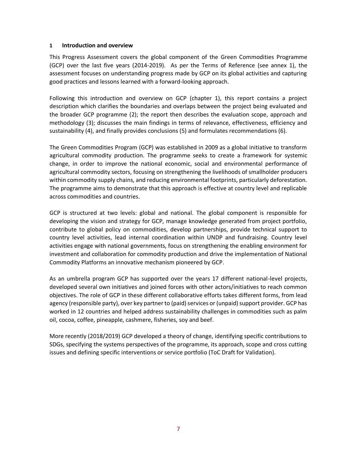## <span id="page-6-0"></span>**1 Introduction and overview**

This Progress Assessment covers the global component of the Green Commodities Programme (GCP) over the last five years (2014-2019). As per the Terms of Reference (see annex 1), the assessment focuses on understanding progress made by GCP on its global activities and capturing good practices and lessons learned with a forward-looking approach.

Following this introduction and overview on GCP (chapter 1), this report contains a project description which clarifies the boundaries and overlaps between the project being evaluated and the broader GCP programme (2); the report then describes the evaluation scope, approach and methodology (3); discusses the main findings in terms of relevance, effectiveness, efficiency and sustainability (4), and finally provides conclusions (5) and formulates recommendations (6).

The Green Commodities Program (GCP) was established in 2009 as a global initiative to transform agricultural commodity production. The programme seeks to create a framework for systemic change, in order to improve the national economic, social and environmental performance of agricultural commodity sectors, focusing on strengthening the livelihoods of smallholder producers within commodity supply chains, and reducing environmental footprints, particularly deforestation. The programme aims to demonstrate that this approach is effective at country level and replicable across commodities and countries.

GCP is structured at two levels: global and national. The global component is responsible for developing the vision and strategy for GCP, manage knowledge generated from project portfolio, contribute to global policy on commodities, develop partnerships, provide technical support to country level activities, lead internal coordination within UNDP and fundraising. Country level activities engage with national governments, focus on strengthening the enabling environment for investment and collaboration for commodity production and drive the implementation of National Commodity Platforms an innovative mechanism pioneered by GCP.

As an umbrella program GCP has supported over the years 17 different national-level projects, developed several own initiatives and joined forces with other actors/initiatives to reach common objectives. The role of GCP in these different collaborative efforts takes different forms, from lead agency (responsible party), over key partner to (paid) services or (unpaid) support provider. GCP has worked in 12 countries and helped address sustainability challenges in commodities such as palm oil, cocoa, coffee, pineapple, cashmere, fisheries, soy and beef.

More recently (2018/2019) GCP developed a theory of change, identifying specific contributions to SDGs, specifying the systems perspectives of the programme, its approach, scope and cross cutting issues and defining specific interventions or service portfolio (ToC Draft for Validation).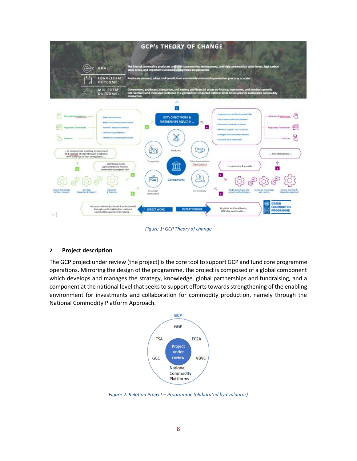

*Figure 1: GCP Theory of change*

## <span id="page-7-1"></span><span id="page-7-0"></span>**2 Project description**

The GCP project under review (the project) is the core tool to support GCP and fund core programme operations. Mirroring the design of the programme, the project is composed of a global component which develops and manages the strategy, knowledge, global partnerships and fundraising, and a component at the national level that seeks to support efforts towards strengthening of the enabling environment for investments and collaboration for commodity production, namely through the National Commodity Platform Approach.



<span id="page-7-2"></span>*Figure 2: Relation Project – Programme (elaborated by evaluator)*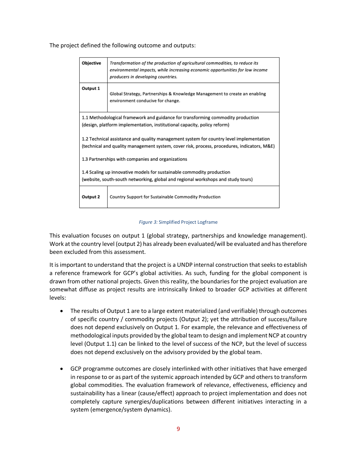The project defined the following outcome and outputs:

| Objective                                                                                                                                                                              | Transformation of the production of agricultural commodities, to reduce its<br>environmental impacts, while increasing economic opportunities for low income<br>producers in developing countries. |  |  |
|----------------------------------------------------------------------------------------------------------------------------------------------------------------------------------------|----------------------------------------------------------------------------------------------------------------------------------------------------------------------------------------------------|--|--|
| Output 1<br>Global Strategy, Partnerships & Knowledge Management to create an enabling<br>environment conducive for change.                                                            |                                                                                                                                                                                                    |  |  |
| 1.1 Methodological framework and guidance for transforming commodity production<br>(design, platform implementation, institutional capacity, policy reform)                            |                                                                                                                                                                                                    |  |  |
| 1.2 Technical assistance and quality management system for country level implementation<br>(technical and quality management system, cover risk, process, procedures, indicators, M&E) |                                                                                                                                                                                                    |  |  |
| 1.3 Partnerships with companies and organizations                                                                                                                                      |                                                                                                                                                                                                    |  |  |
| 1.4 Scaling up innovative models for sustainable commodity production<br>(website, south-south networking, global and regional workshops and study tours)                              |                                                                                                                                                                                                    |  |  |
| Output 2                                                                                                                                                                               | Country Support for Sustainable Commodity Production                                                                                                                                               |  |  |
|                                                                                                                                                                                        |                                                                                                                                                                                                    |  |  |

#### *Figure 3:* Simplified Project Logframe

<span id="page-8-0"></span>This evaluation focuses on output 1 (global strategy, partnerships and knowledge management). Work at the country level (output 2) has already been evaluated/will be evaluated and has therefore been excluded from this assessment.

It is important to understand that the project is a UNDP internal construction that seeks to establish a reference framework for GCP's global activities. As such, funding for the global component is drawn from other national projects. Given this reality, the boundaries for the project evaluation are somewhat diffuse as project results are intrinsically linked to broader GCP activities at different levels:

- The results of Output 1 are to a large extent materialized (and verifiable) through outcomes of specific country / commodity projects (Output 2); yet the attribution of success/failure does not depend exclusively on Output 1. For example, the relevance and effectiveness of methodological inputs provided by the global team to design and implement NCP at country level (Output 1.1) can be linked to the level of success of the NCP, but the level of success does not depend exclusively on the advisory provided by the global team.
- GCP programme outcomes are closely interlinked with other initiatives that have emerged in response to or as part of the systemic approach intended by GCP and others to transform global commodities. The evaluation framework of relevance, effectiveness, efficiency and sustainability has a linear (cause/effect) approach to project implementation and does not completely capture synergies/duplications between different initiatives interacting in a system (emergence/system dynamics).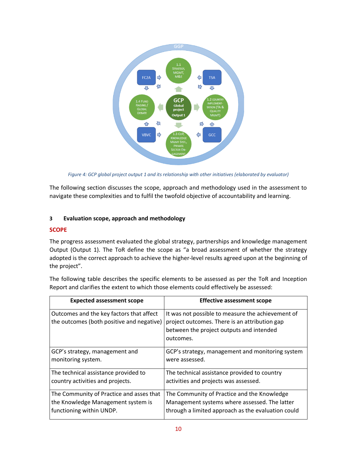

*Figure 4: GCP global project output 1 and its relationship with other initiatives (elaborated by evaluator)*

<span id="page-9-1"></span>The following section discusses the scope, approach and methodology used in the assessment to navigate these complexities and to fulfil the twofold objective of accountability and learning.

## <span id="page-9-0"></span>**3 Evaluation scope, approach and methodology**

## **SCOPE**

The progress assessment evaluated the global strategy, partnerships and knowledge management Output (Output 1). The ToR define the scope as "a broad assessment of whether the strategy adopted is the correct approach to achieve the higher-level results agreed upon at the beginning of the project".

The following table describes the specific elements to be assessed as per the ToR and Inception Report and clarifies the extent to which those elements could effectively be assessed:

| <b>Expected assessment scope</b>                                                      | <b>Effective assessment scope</b>                                                                                                                           |
|---------------------------------------------------------------------------------------|-------------------------------------------------------------------------------------------------------------------------------------------------------------|
| Outcomes and the key factors that affect<br>the outcomes (both positive and negative) | It was not possible to measure the achievement of<br>project outcomes. There is an attribution gap<br>between the project outputs and intended<br>outcomes. |
| GCP's strategy, management and                                                        | GCP's strategy, management and monitoring system                                                                                                            |
| monitoring system.                                                                    | were assessed.                                                                                                                                              |
| The technical assistance provided to                                                  | The technical assistance provided to country                                                                                                                |
| country activities and projects.                                                      | activities and projects was assessed.                                                                                                                       |
| The Community of Practice and asses that                                              | The Community of Practice and the Knowledge                                                                                                                 |
| the Knowledge Management system is                                                    | Management systems where assessed. The latter                                                                                                               |
| functioning within UNDP.                                                              | through a limited approach as the evaluation could                                                                                                          |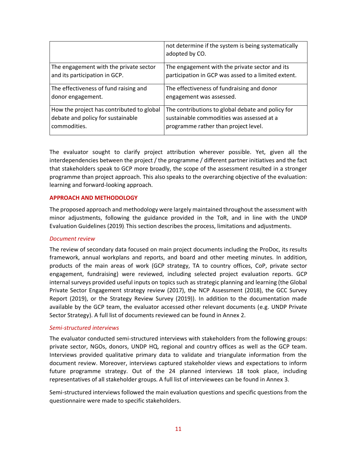|                                           | not determine if the system is being systematically<br>adopted by CO. |
|-------------------------------------------|-----------------------------------------------------------------------|
| The engagement with the private sector    | The engagement with the private sector and its                        |
| and its participation in GCP.             | participation in GCP was assed to a limited extent.                   |
| The effectiveness of fund raising and     | The effectiveness of fundraising and donor                            |
| donor engagement.                         | engagement was assessed.                                              |
| How the project has contributed to global | The contributions to global debate and policy for                     |
| debate and policy for sustainable         | sustainable commodities was assessed at a                             |
| commodities.                              | programme rather than project level.                                  |

The evaluator sought to clarify project attribution wherever possible. Yet, given all the interdependencies between the project / the programme / different partner initiatives and the fact that stakeholders speak to GCP more broadly, the scope of the assessment resulted in a stronger programme than project approach. This also speaks to the overarching objective of the evaluation: learning and forward-looking approach.

#### **APPROACH AND METHODOLOGY**

The proposed approach and methodology were largely maintained throughout the assessment with minor adjustments, following the guidance provided in the ToR, and in line with the UNDP Evaluation Guidelines (2019). This section describes the process, limitations and adjustments.

#### *Document review*

The review of secondary data focused on main project documents including the ProDoc, its results framework, annual workplans and reports, and board and other meeting minutes. In addition, products of the main areas of work (GCP strategy, TA to country offices, CoP, private sector engagement, fundraising) were reviewed, including selected project evaluation reports. GCP internal surveys provided useful inputs on topics such as strategic planning and learning (the Global Private Sector Engagement strategy review (2017), the NCP Assessment (2018), the GCC Survey Report (2019), or the Strategy Review Survey (2019)). In addition to the documentation made available by the GCP team, the evaluator accessed other relevant documents (e.g. UNDP Private Sector Strategy). A full list of documents reviewed can be found in Annex 2.

#### *Semi-structured interviews*

The evaluator conducted semi-structured interviews with stakeholders from the following groups: private sector, NGOs, donors, UNDP HQ, regional and country offices as well as the GCP team. Interviews provided qualitative primary data to validate and triangulate information from the document review. Moreover, interviews captured stakeholder views and expectations to inform future programme strategy. Out of the 24 planned interviews 18 took place, including representatives of all stakeholder groups. A full list of interviewees can be found in Annex 3.

Semi-structured interviews followed the main evaluation questions and specific questions from the questionnaire were made to specific stakeholders.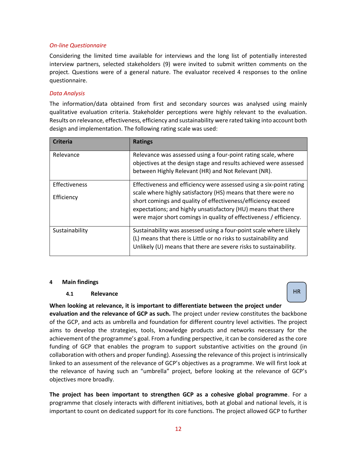## *On-line Questionnaire*

Considering the limited time available for interviews and the long list of potentially interested interview partners, selected stakeholders (9) were invited to submit written comments on the project. Questions were of a general nature. The evaluator received 4 responses to the online questionnaire.

## *Data Analysis*

The information/data obtained from first and secondary sources was analysed using mainly qualitative evaluation criteria. Stakeholder perceptions were highly relevant to the evaluation. Results on relevance, effectiveness, efficiency and sustainability were rated taking into account both design and implementation. The following rating scale was used:

| <b>Criteria</b>             | <b>Ratings</b>                                                                                                                                                                                                                                                                                                                              |  |
|-----------------------------|---------------------------------------------------------------------------------------------------------------------------------------------------------------------------------------------------------------------------------------------------------------------------------------------------------------------------------------------|--|
| Relevance                   | Relevance was assessed using a four-point rating scale, where<br>objectives at the design stage and results achieved were assessed<br>between Highly Relevant (HR) and Not Relevant (NR).                                                                                                                                                   |  |
| Effectiveness<br>Efficiency | Effectiveness and efficiency were assessed using a six-point rating<br>scale where highly satisfactory (HS) means that there were no<br>short comings and quality of effectiveness/efficiency exceed<br>expectations; and highly unsatisfactory (HU) means that there<br>were major short comings in quality of effectiveness / efficiency. |  |
| Sustainability              | Sustainability was assessed using a four-point scale where Likely<br>(L) means that there is Little or no risks to sustainability and<br>Unlikely (U) means that there are severe risks to sustainability.                                                                                                                                  |  |

## <span id="page-11-0"></span>**4 Main findings**

## <span id="page-11-1"></span>**4.1 Relevance**

HR

**When looking at relevance, it is important to differentiate between the project under evaluation and the relevance of GCP as such.** The project under review constitutes the backbone of the GCP, and acts as umbrella and foundation for different country level activities. The project aims to develop the strategies, tools, knowledge products and networks necessary for the achievement of the programme's goal. From a funding perspective, it can be considered as the core funding of GCP that enables the program to support substantive activities on the ground (in collaboration with others and proper funding). Assessing the relevance of this project is intrinsically linked to an assessment of the relevance of GCP's objectives as a programme. We will first look at the relevance of having such an "umbrella" project, before looking at the relevance of GCP's objectives more broadly.

**The project has been important to strengthen GCP as a cohesive global programme**. For a programme that closely interacts with different initiatives, both at global and national levels, it is important to count on dedicated support for its core functions. The project allowed GCP to further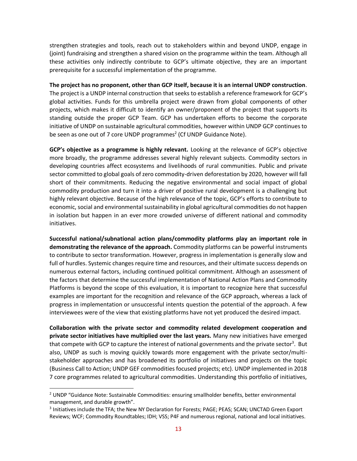strengthen strategies and tools, reach out to stakeholders within and beyond UNDP, engage in (joint) fundraising and strengthen a shared vision on the programme within the team. Although all these activities only indirectly contribute to GCP's ultimate objective, they are an important prerequisite for a successful implementation of the programme.

**The project has no proponent, other than GCP itself, because it is an internal UNDP construction**. The project is a UNDP internal construction that seeks to establish a reference framework for GCP's global activities. Funds for this umbrella project were drawn from global components of other projects, which makes it difficult to identify an owner/proponent of the project that supports its standing outside the proper GCP Team. GCP has undertaken efforts to become the corporate initiative of UNDP on sustainable agricultural commodities, however within UNDP GCP continues to be seen as one out of 7 core UNDP programmes<sup>2</sup> (Cf UNDP Guidance Note).

**GCP's objective as a programme is highly relevant.** Looking at the relevance of GCP's objective more broadly, the programme addresses several highly relevant subjects. Commodity sectors in developing countries affect ecosystems and livelihoods of rural communities. Public and private sector committed to global goals of zero commodity-driven deforestation by 2020, however will fall short of their commitments. Reducing the negative environmental and social impact of global commodity production and turn it into a driver of positive rural development is a challenging but highly relevant objective. Because of the high relevance of the topic, GCP's efforts to contribute to economic, social and environmental sustainability in global agricultural commodities do not happen in isolation but happen in an ever more crowded universe of different national and commodity initiatives.

**Successful national/subnational action plans/commodity platforms play an important role in demonstrating the relevance of the approach.** Commodity platforms can be powerful instruments to contribute to sector transformation. However, progress in implementation is generally slow and full of hurdles. Systemic changes require time and resources, and their ultimate success depends on numerous external factors, including continued political commitment. Although an assessment of the factors that determine the successful implementation of National Action Plans and Commodity Platforms is beyond the scope of this evaluation, it is important to recognize here that successful examples are important for the recognition and relevance of the GCP approach, whereas a lack of progress in implementation or unsuccessful intents question the potential of the approach. A few interviewees were of the view that existing platforms have not yet produced the desired impact.

**Collaboration with the private sector and commodity related development cooperation and private sector initiatives have multiplied over the last years.** Many new initiatives have emerged that compete with GCP to capture the interest of national governments and the private sector<sup>3</sup>. But also, UNDP as such is moving quickly towards more engagement with the private sector/multistakeholder approaches and has broadened its portfolio of initiatives and projects on the topic (Business Call to Action; UNDP GEF commodities focused projects; etc). UNDP implemented in 2018 7 core programmes related to agricultural commodities. Understanding this portfolio of initiatives,

<sup>2</sup> UNDP "Guidance Note: Sustainable Commodities: ensuring smallholder benefits, better environmental management, and durable growth".

<sup>&</sup>lt;sup>3</sup> Initiatives include the TFA; the New NY Declaration for Forests; PAGE; PEAS; SCAN; UNCTAD Green Export Reviews; WCF; Commodity Roundtables; IDH; VSS; P4F and numerous regional, national and local initiatives.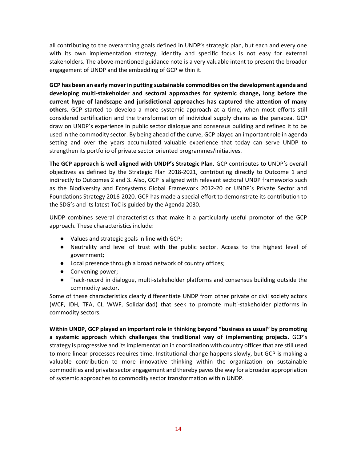all contributing to the overarching goals defined in UNDP's strategic plan, but each and every one with its own implementation strategy, identity and specific focus is not easy for external stakeholders. The above-mentioned guidance note is a very valuable intent to present the broader engagement of UNDP and the embedding of GCP within it.

**GCP has been an early mover in putting sustainable commodities on the development agenda and developing multi-stakeholder and sectoral approaches for systemic change, long before the current hype of landscape and jurisdictional approaches has captured the attention of many others.** GCP started to develop a more systemic approach at a time, when most efforts still considered certification and the transformation of individual supply chains as the panacea. GCP draw on UNDP's experience in public sector dialogue and consensus building and refined it to be used in the commodity sector. By being ahead of the curve, GCP played an important role in agenda setting and over the years accumulated valuable experience that today can serve UNDP to strengthen its portfolio of private sector oriented programmes/initiatives.

**The GCP approach is well aligned with UNDP's Strategic Plan.** GCP contributes to UNDP's overall objectives as defined by the Strategic Plan 2018-2021, contributing directly to Outcome 1 and indirectly to Outcomes 2 and 3. Also, GCP is aligned with relevant sectoral UNDP frameworks such as the Biodiversity and Ecosystems Global Framework 2012-20 or UNDP's Private Sector and Foundations Strategy 2016-2020. GCP has made a special effort to demonstrate its contribution to the SDG's and its latest ToC is guided by the Agenda 2030.

UNDP combines several characteristics that make it a particularly useful promotor of the GCP approach. These characteristics include:

- Values and strategic goals in line with GCP;
- Neutrality and level of trust with the public sector. Access to the highest level of government;
- Local presence through a broad network of country offices;
- Convening power;
- Track-record in dialogue, multi-stakeholder platforms and consensus building outside the commodity sector.

Some of these characteristics clearly differentiate UNDP from other private or civil society actors (WCF, IDH, TFA, CI, WWF, Solidaridad) that seek to promote multi-stakeholder platforms in commodity sectors.

**Within UNDP, GCP played an important role in thinking beyond "business as usual" by promoting a systemic approach which challenges the traditional way of implementing projects.** GCP's strategy is progressive and its implementation in coordination with country offices that are still used to more linear processes requires time. Institutional change happens slowly, but GCP is making a valuable contribution to more innovative thinking within the organization on sustainable commodities and private sector engagement and thereby paves the way for a broader appropriation of systemic approaches to commodity sector transformation within UNDP.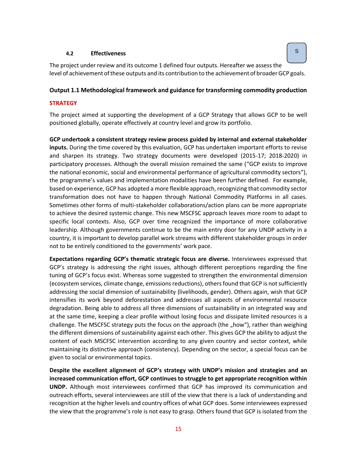## <span id="page-14-0"></span>**4.2 Effectiveness**

The project under review and its outcome 1 defined four outputs. Hereafter we assess the level of achievement of these outputs and its contribution to the achievement of broader GCP goals.

## **Output 1.1 Methodological framework and guidance for transforming commodity production**

## **STRATEGY**

The project aimed at supporting the development of a GCP Strategy that allows GCP to be well positioned globally, operate effectively at country level and grow its portfolio.

**GCP undertook a consistent strategy review process guided by internal and external stakeholder inputs.** During the time covered by this evaluation, GCP has undertaken important efforts to revise and sharpen its strategy. Two strategy documents were developed (2015-17; 2018-2020) in participatory processes. Although the overall mission remained the same ("GCP exists to improve the national economic, social and environmental performance of agricultural commodity sectors"), the programme's values and implementation modalities have been further defined. For example, based on experience, GCP has adopted a more flexible approach, recognizing that commodity sector transformation does not have to happen through National Commodity Platforms in all cases. Sometimes other forms of multi-stakeholder collaborations/action plans can be more appropriate to achieve the desired systemic change. This new MSCFSC approach leaves more room to adapt to specific local contexts. Also, GCP over time recognized the importance of more collaborative leadership. Although governments continue to be the main entry door for any UNDP activity in a country, it is important to develop parallel work streams with different stakeholder groups in order not to be entirely conditioned to the governments' work pace.

**Expectations regarding GCP's thematic strategic focus are diverse.** Interviewees expressed that GCP's strategy is addressing the right issues, although different perceptions regarding the fine tuning of GCP's focus exist. Whereas some suggested to strengthen the environmental dimension (ecosystem services, climate change, emissions reductions), others found that GCP is not sufficiently addressing the social dimension of sustainability (livelihoods, gender). Others again, wish that GCP intensifies its work beyond deforestation and addresses all aspects of environmental resource degradation. Being able to address all three dimensions of sustainability in an integrated way and at the same time, keeping a clear profile without losing focus and dissipate limited resources is a challenge. The MSCFSC strategy puts the focus on the approach (the "how"), rather than weighing the different dimensions of sustainability against each other. This gives GCP the ability to adjust the content of each MSCFSC intervention according to any given country and sector context, while maintaining its distinctive approach (consistency). Depending on the sector, a special focus can be given to social or environmental topics.

**Despite the excellent alignment of GCP's strategy with UNDP's mission and strategies and an increased communication effort, GCP continues to struggle to get appropriate recognition within UNDP.** Although most interviewees confirmed that GCP has improved its communication and outreach efforts, several interviewees are still of the view that there is a lack of understanding and recognition at the higher levels and country offices of what GCP does. Some interviewees expressed the view that the programme's role is not easy to grasp. Others found that GCP is isolated from the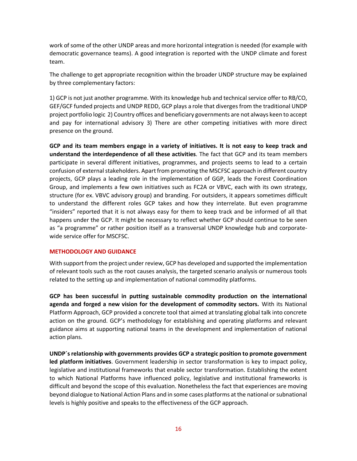work of some of the other UNDP areas and more horizontal integration is needed (for example with democratic governance teams). A good integration is reported with the UNDP climate and forest team.

The challenge to get appropriate recognition within the broader UNDP structure may be explained by three complementary factors:

1) GCP is not just another programme. With its knowledge hub and technical service offer to RB/CO, GEF/GCF funded projects and UNDP REDD, GCP plays a role that diverges from the traditional UNDP project portfolio logic 2) Country offices and beneficiary governments are not always keen to accept and pay for international advisory 3) There are other competing initiatives with more direct presence on the ground.

**GCP and its team members engage in a variety of initiatives. It is not easy to keep track and understand the interdependence of all these activities**. The fact that GCP and its team members participate in several different initiatives, programmes, and projects seems to lead to a certain confusion of external stakeholders. Apart from promoting the MSCFSC approach in different country projects, GCP plays a leading role in the implementation of GGP, leads the Forest Coordination Group, and implements a few own initiatives such as FC2A or VBVC, each with its own strategy, structure (for ex. VBVC advisory group) and branding. For outsiders, it appears sometimes difficult to understand the different roles GCP takes and how they interrelate. But even programme "insiders" reported that it is not always easy for them to keep track and be informed of all that happens under the GCP. It might be necessary to reflect whether GCP should continue to be seen as "a programme" or rather position itself as a transversal UNDP knowledge hub and corporatewide service offer for MSCFSC.

## **METHODOLOGY AND GUIDANCE**

With support from the project under review, GCP has developed and supported the implementation of relevant tools such as the root causes analysis, the targeted scenario analysis or numerous tools related to the setting up and implementation of national commodity platforms.

**GCP has been successful in putting sustainable commodity production on the international agenda and forged a new vision for the development of commodity sectors.** With its National Platform Approach, GCP provided a concrete tool that aimed at translating global talk into concrete action on the ground. GCP's methodology for establishing and operating platforms and relevant guidance aims at supporting national teams in the development and implementation of national action plans.

**UNDP´s relationship with governments provides GCP a strategic position to promote government led platform initiatives**. Government leadership in sector transformation is key to impact policy, legislative and institutional frameworks that enable sector transformation. Establishing the extent to which National Platforms have influenced policy, legislative and institutional frameworks is difficult and beyond the scope of this evaluation. Nonetheless the fact that experiences are moving beyond dialogue to National Action Plans and in some cases platforms at the national or subnational levels is highly positive and speaks to the effectiveness of the GCP approach.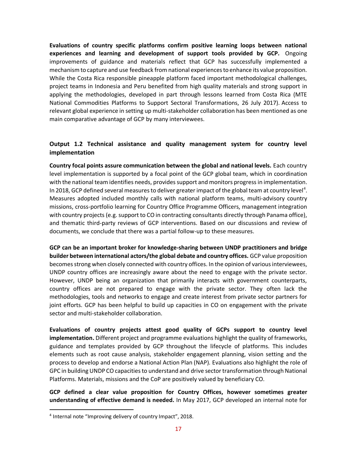**Evaluations of country specific platforms confirm positive learning loops between national experiences and learning and development of support tools provided by GCP.** Ongoing improvements of guidance and materials reflect that GCP has successfully implemented a mechanism to capture and use feedback from national experiences to enhance its value proposition. While the Costa Rica responsible pineapple platform faced important methodological challenges, project teams in Indonesia and Peru benefited from high quality materials and strong support in applying the methodologies, developed in part through lessons learned from Costa Rica (MTE National Commodities Platforms to Support Sectoral Transformations, 26 July 2017). Access to relevant global experience in setting up multi-stakeholder collaboration has been mentioned as one main comparative advantage of GCP by many interviewees.

## **Output 1.2 Technical assistance and quality management system for country level implementation**

**Country focal points assure communication between the global and national levels.** Each country level implementation is supported by a focal point of the GCP global team, which in coordination with the national team identifies needs, provides support and monitors progress in implementation. In 2018, GCP defined several measures to deliver greater impact of the global team at country level<sup>4</sup>. Measures adopted included monthly calls with national platform teams, multi-advisory country missions, cross-portfolio learning for Country Office Programme Officers, management integration with country projects (e.g. support to CO in contracting consultants directly through Panama office), and thematic third-party reviews of GCP interventions. Based on our discussions and review of documents, we conclude that there was a partial follow-up to these measures.

**GCP can be an important broker for knowledge-sharing between UNDP practitioners and bridge builder between international actors/the global debate and country offices.** GCP value proposition becomes strong when closely connected with country offices. In the opinion of various interviewees, UNDP country offices are increasingly aware about the need to engage with the private sector. However, UNDP being an organization that primarily interacts with government counterparts, country offices are not prepared to engage with the private sector. They often lack the methodologies, tools and networks to engage and create interest from private sector partners for joint efforts. GCP has been helpful to build up capacities in CO on engagement with the private sector and multi-stakeholder collaboration.

**Evaluations of country projects attest good quality of GCPs support to country level implementation.** Different project and programme evaluations highlight the quality of frameworks, guidance and templates provided by GCP throughout the lifecycle of platforms. This includes elements such as root cause analysis, stakeholder engagement planning, vision setting and the process to develop and endorse a National Action Plan (NAP). Evaluations also highlight the role of GPC in building UNDP CO capacities to understand and drive sector transformation through National Platforms. Materials, missions and the CoP are positively valued by beneficiary CO.

**GCP defined a clear value proposition for Country Offices, however sometimes greater understanding of effective demand is needed.** In May 2017, GCP developed an internal note for

<sup>4</sup> Internal note "Improving delivery of country Impact", 2018.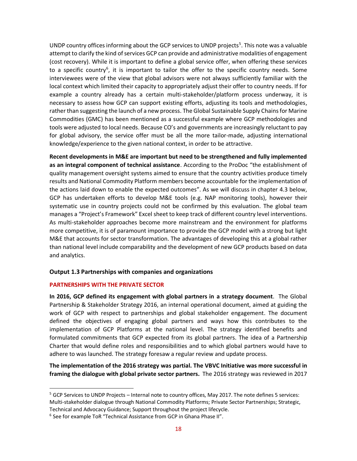UNDP country offices informing about the GCP services to UNDP projects<sup>5</sup>. This note was a valuable attempt to clarify the kind of services GCP can provide and administrative modalities of engagement (cost recovery). While it is important to define a global service offer, when offering these services to a specific country<sup>6</sup>, it is important to tailor the offer to the specific country needs. Some interviewees were of the view that global advisors were not always sufficiently familiar with the local context which limited their capacity to appropriately adjust their offer to country needs. If for example a country already has a certain multi-stakeholder/platform process underway, it is necessary to assess how GCP can support existing efforts, adjusting its tools and methodologies, rather than suggesting the launch of a new process. The Global Sustainable Supply Chains for Marine Commodities (GMC) has been mentioned as a successful example where GCP methodologies and tools were adjusted to local needs. Because CO's and governments are increasingly reluctant to pay for global advisory, the service offer must be all the more tailor-made, adjusting international knowledge/experience to the given national context, in order to be attractive.

**Recent developments in M&E are important but need to be strengthened and fully implemented as an integral component of technical assistance**. According to the ProDoc "the establishment of quality management oversight systems aimed to ensure that the country activities produce timely results and National Commodity Platform members become accountable for the implementation of the actions laid down to enable the expected outcomes". As we will discuss in chapter 4.3 below, GCP has undertaken efforts to develop M&E tools (e.g. NAP monitoring tools), however their systematic use in country projects could not be confirmed by this evaluation. The global team manages a "Project's Framework" Excel sheet to keep track of different country level interventions. As multi-stakeholder approaches become more mainstream and the environment for platforms more competitive, it is of paramount importance to provide the GCP model with a strong but light M&E that accounts for sector transformation. The advantages of developing this at a global rather than national level include comparability and the development of new GCP products based on data and analytics.

## **Output 1.3 Partnerships with companies and organizations**

## **PARTNERSHIPS WITH THE PRIVATE SECTOR**

**In 2016, GCP defined its engagement with global partners in a strategy document**. The Global Partnership & Stakeholder Strategy 2016, an internal operational document, aimed at guiding the work of GCP with respect to partnerships and global stakeholder engagement. The document defined the objectives of engaging global partners and ways how this contributes to the implementation of GCP Platforms at the national level. The strategy identified benefits and formulated commitments that GCP expected from its global partners. The idea of a Partnership Charter that would define roles and responsibilities and to which global partners would have to adhere to was launched. The strategy foresaw a regular review and update process.

**The implementation of the 2016 strategy was partial. The VBVC Initiative was more successful in framing the dialogue with global private sector partners.** The 2016 strategy was reviewed in 2017

 $5$  GCP Services to UNDP Projects – Internal note to country offices, May 2017. The note defines 5 services: Multi-stakeholder dialogue through National Commodity Platforms; Private Sector Partnerships; Strategic, Technical and Advocacy Guidance; Support throughout the project lifecycle.

<sup>&</sup>lt;sup>6</sup> See for example ToR "Technical Assistance from GCP in Ghana Phase II".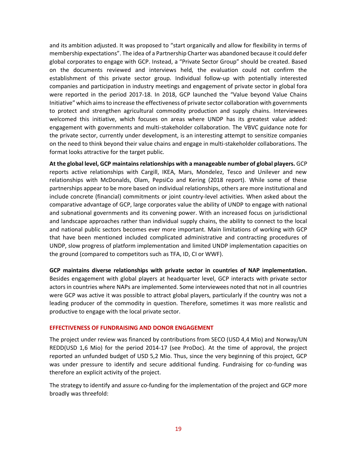and its ambition adjusted. It was proposed to "start organically and allow for flexibility in terms of membership expectations". The idea of a Partnership Charter was abandoned because it could defer global corporates to engage with GCP. Instead, a "Private Sector Group" should be created. Based on the documents reviewed and interviews held, the evaluation could not confirm the establishment of this private sector group. Individual follow-up with potentially interested companies and participation in industry meetings and engagement of private sector in global fora were reported in the period 2017-18. In 2018, GCP launched the "Value beyond Value Chains Initiative" which aims to increase the effectiveness of private sector collaboration with governments to protect and strengthen agricultural commodity production and supply chains. Interviewees welcomed this initiative, which focuses on areas where UNDP has its greatest value added: engagement with governments and multi-stakeholder collaboration. The VBVC guidance note for the private sector, currently under development, is an interesting attempt to sensitize companies on the need to think beyond their value chains and engage in multi-stakeholder collaborations. The format looks attractive for the target public.

**At the global level, GCP maintainsrelationships with a manageable number of global players.** GCP reports active relationships with Cargill, IKEA, Mars, Mondelez, Tesco and Unilever and new relationships with McDonalds, Olam, PepsiCo and Kering (2018 report). While some of these partnerships appear to be more based on individual relationships, others are more institutional and include concrete (financial) commitments or joint country-level activities. When asked about the comparative advantage of GCP, large corporates value the ability of UNDP to engage with national and subnational governments and its convening power. With an increased focus on jurisdictional and landscape approaches rather than individual supply chains, the ability to connect to the local and national public sectors becomes ever more important. Main limitations of working with GCP that have been mentioned included complicated administrative and contracting procedures of UNDP, slow progress of platform implementation and limited UNDP implementation capacities on the ground (compared to competitors such as TFA, ID, CI or WWF).

**GCP maintains diverse relationships with private sector in countries of NAP implementation.** Besides engagement with global players at headquarter level, GCP interacts with private sector actors in countries where NAPs are implemented. Some interviewees noted that not in all countries were GCP was active it was possible to attract global players, particularly if the country was not a leading producer of the commodity in question. Therefore, sometimes it was more realistic and productive to engage with the local private sector.

## **EFFECTIVENESS OF FUNDRAISING AND DONOR ENGAGEMENT**

The project under review was financed by contributions from SECO (USD 4,4 Mio) and Norway/UN REDD(USD 1,6 Mio) for the period 2014-17 (see ProDoc). At the time of approval, the project reported an unfunded budget of USD 5,2 Mio. Thus, since the very beginning of this project, GCP was under pressure to identify and secure additional funding. Fundraising for co-funding was therefore an explicit activity of the project.

The strategy to identify and assure co-funding for the implementation of the project and GCP more broadly was threefold: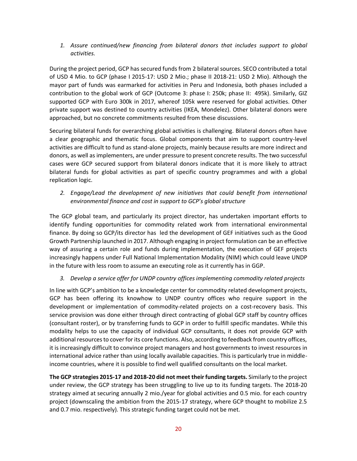*1. Assure continued/new financing from bilateral donors that includes support to global activities.*

During the project period, GCP has secured funds from 2 bilateral sources. SECO contributed a total of USD 4 Mio. to GCP (phase I 2015-17: USD 2 Mio.; phase II 2018-21: USD 2 Mio). Although the mayor part of funds was earmarked for activities in Peru and Indonesia, both phases included a contribution to the global work of GCP (Outcome 3: phase I: 250k; phase II: 495k). Similarly, GIZ supported GCP with Euro 300k in 2017, whereof 105k were reserved for global activities. Other private support was destined to country activities (IKEA, Mondelez). Other bilateral donors were approached, but no concrete commitments resulted from these discussions.

Securing bilateral funds for overarching global activities is challenging. Bilateral donors often have a clear geographic and thematic focus. Global components that aim to support country-level activities are difficult to fund as stand-alone projects, mainly because results are more indirect and donors, as well as implementers, are under pressure to present concrete results. The two successful cases were GCP secured support from bilateral donors indicate that it is more likely to attract bilateral funds for global activities as part of specific country programmes and with a global replication logic.

*2. Engage/Lead the development of new initiatives that could benefit from international environmental finance and cost in support to GCP's global structure*

The GCP global team, and particularly its project director, has undertaken important efforts to identify funding opportunities for commodity related work from international environmental finance. By doing so GCP/its director has led the development of GEF initiatives such as the Good Growth Partnership launched in 2017. Although engaging in project formulation can be an effective way of assuring a certain role and funds during implementation, the execution of GEF projects increasingly happens under Full National Implementation Modality (NIM) which could leave UNDP in the future with less room to assume an executing role as it currently has in GGP.

## *3. Develop a service offer for UNDP country offices implementing commodity related projects*

In line with GCP's ambition to be a knowledge center for commodity related development projects, GCP has been offering its knowhow to UNDP country offices who require support in the development or implementation of commodity-related projects on a cost-recovery basis. This service provision was done either through direct contracting of global GCP staff by country offices (consultant roster), or by transferring funds to GCP in order to fulfill specific mandates. While this modality helps to use the capacity of individual GCP consultants, it does not provide GCP with additional resources to cover for its core functions. Also, according to feedback from country offices, it is increasingly difficult to convince project managers and host governments to invest resources in international advice rather than using locally available capacities. This is particularly true in middleincome countries, where it is possible to find well qualified consultants on the local market.

**The GCP strategies 2015-17 and 2018-20 did not meet their funding targets.** Similarly to the project under review, the GCP strategy has been struggling to live up to its funding targets. The 2018-20 strategy aimed at securing annually 2 mio./year for global activities and 0.5 mio. for each country project (downscaling the ambition from the 2015-17 strategy, where GCP thought to mobilize 2.5 and 0.7 mio. respectively). This strategic funding target could not be met.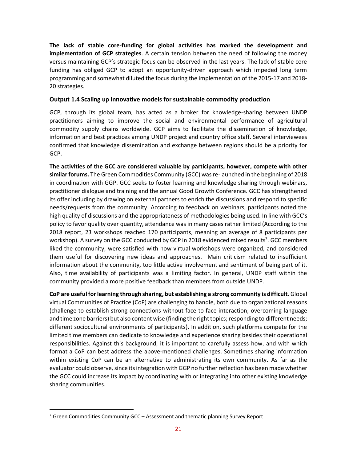**The lack of stable core-funding for global activities has marked the development and implementation of GCP strategies**. A certain tension between the need of following the money versus maintaining GCP's strategic focus can be observed in the last years. The lack of stable core funding has obliged GCP to adopt an opportunity-driven approach which impeded long term programming and somewhat diluted the focus during the implementation of the 2015-17 and 2018- 20 strategies.

## **Output 1.4 Scaling up innovative models for sustainable commodity production**

GCP, through its global team, has acted as a broker for knowledge-sharing between UNDP practitioners aiming to improve the social and environmental performance of agricultural commodity supply chains worldwide. GCP aims to facilitate the dissemination of knowledge, information and best practices among UNDP project and country office staff. Several interviewees confirmed that knowledge dissemination and exchange between regions should be a priority for GCP.

**The activities of the GCC are considered valuable by participants, however, compete with other similar forums.** The Green Commodities Community (GCC) was re-launched in the beginning of 2018 in coordination with GGP. GCC seeks to foster learning and knowledge sharing through webinars, practitioner dialogue and training and the annual Good Growth Conference. GCC has strengthened its offer including by drawing on external partners to enrich the discussions and respond to specific needs/requests from the community. According to feedback on webinars, participants noted the high quality of discussions and the appropriateness of methodologies being used. In line with GCC's policy to favor quality over quantity, attendance was in many cases rather limited (According to the 2018 report, 23 workshops reached 170 participants, meaning an average of 8 participants per workshop). A survey on the GCC conducted by GCP in 2018 evidenced mixed results<sup>7</sup>. GCC members liked the community, were satisfied with how virtual workshops were organized, and considered them useful for discovering new ideas and approaches. Main criticism related to insufficient information about the community, too little active involvement and sentiment of being part of it. Also, time availability of participants was a limiting factor. In general, UNDP staff within the community provided a more positive feedback than members from outside UNDP.

**CoP are useful for learning through sharing, but establishing a strong community is difficult**. Global virtual Communities of Practice (CoP) are challenging to handle, both due to organizational reasons (challenge to establish strong connections without face-to-face interaction; overcoming language and time zone barriers) but also content wise (finding the right topics; responding to different needs; different sociocultural environments of participants). In addition, such platforms compete for the limited time members can dedicate to knowledge and experience sharing besides their operational responsibilities. Against this background, it is important to carefully assess how, and with which format a CoP can best address the above-mentioned challenges. Sometimes sharing information within existing CoP can be an alternative to administrating its own community. As far as the evaluator could observe, since itsintegration with GGP no further reflection has been made whether the GCC could increase its impact by coordinating with or integrating into other existing knowledge sharing communities.

 $7$  Green Commodities Community GCC – Assessment and thematic planning Survey Report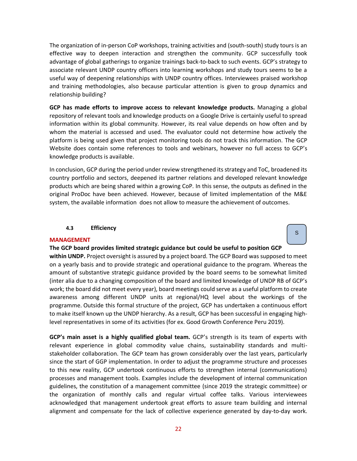The organization of in-person CoP workshops, training activities and (south-south) study tours is an effective way to deepen interaction and strengthen the community. GCP successfully took advantage of global gatherings to organize trainings back-to-back to such events. GCP's strategy to associate relevant UNDP country officers into learning workshops and study tours seems to be a useful way of deepening relationships with UNDP country offices. Interviewees praised workshop and training methodologies, also because particular attention is given to group dynamics and relationship building?

**GCP has made efforts to improve access to relevant knowledge products.** Managing a global repository of relevant tools and knowledge products on a Google Drive is certainly useful to spread information within its global community. However, its real value depends on how often and by whom the material is accessed and used. The evaluator could not determine how actively the platform is being used given that project monitoring tools do not track this information. The GCP Website does contain some references to tools and webinars, however no full access to GCP's knowledge products is available.

In conclusion, GCP during the period under review strengthened its strategy and ToC, broadened its country portfolio and sectors, deepened its partner relations and developed relevant knowledge products which are being shared within a growing CoP. In this sense, the outputs as defined in the original ProDoc have been achieved. However, because of limited implementation of the M&E system, the available information does not allow to measure the achievement of outcomes.

S

#### **4.3 Efficiency**

#### <span id="page-21-0"></span>**MANAGEMENT**

## **The GCP board provides limited strategic guidance but could be useful to position GCP**

**within UNDP.** Project oversight is assured by a project board. The GCP Board was supposed to meet on a yearly basis and to provide strategic and operational guidance to the program. Whereas the amount of substantive strategic guidance provided by the board seems to be somewhat limited (inter alia due to a changing composition of the board and limited knowledge of UNDP RB of GCP's work; the board did not meet every year), board meetings could serve as a useful platform to create awareness among different UNDP units at regional/HQ level about the workings of the programme. Outside this formal structure of the project, GCP has undertaken a continuous effort to make itself known up the UNDP hierarchy. As a result, GCP has been successful in engaging highlevel representatives in some of its activities (for ex. Good Growth Conference Peru 2019).

**GCP's main asset is a highly qualified global team.** GCP's strength is its team of experts with relevant experience in global commodity value chains, sustainability standards and multistakeholder collaboration. The GCP team has grown considerably over the last years, particularly since the start of GGP implementation. In order to adjust the programme structure and processes to this new reality, GCP undertook continuous efforts to strengthen internal (communications) processes and management tools. Examples include the development of internal communication guidelines, the constitution of a management committee (since 2019 the strategic committee) or the organization of monthly calls and regular virtual coffee talks. Various interviewees acknowledged that management undertook great efforts to assure team building and internal alignment and compensate for the lack of collective experience generated by day-to-day work.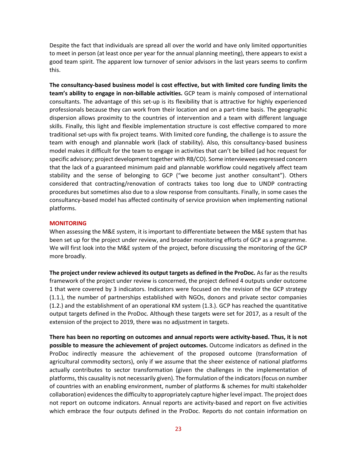Despite the fact that individuals are spread all over the world and have only limited opportunities to meet in person (at least once per year for the annual planning meeting), there appears to exist a good team spirit. The apparent low turnover of senior advisors in the last years seems to confirm this.

**The consultancy-based business model is cost effective, but with limited core funding limits the team's ability to engage in non-billable activities.** GCP team is mainly composed of international consultants. The advantage of this set-up is its flexibility that is attractive for highly experienced professionals because they can work from their location and on a part-time basis. The geographic dispersion allows proximity to the countries of intervention and a team with different language skills. Finally, this light and flexible implementation structure is cost effective compared to more traditional set-ups with fix project teams. With limited core funding, the challenge is to assure the team with enough and plannable work (lack of stability). Also, this consultancy-based business model makes it difficult for the team to engage in activities that can't be billed (ad hoc request for specific advisory; project development together with RB/CO). Some interviewees expressed concern that the lack of a guaranteed minimum paid and plannable workflow could negatively affect team stability and the sense of belonging to GCP ("we become just another consultant"). Others considered that contracting/renovation of contracts takes too long due to UNDP contracting procedures but sometimes also due to a slow response from consultants. Finally, in some cases the consultancy-based model has affected continuity of service provision when implementing national platforms.

## **MONITORING**

When assessing the M&E system, it is important to differentiate between the M&E system that has been set up for the project under review, and broader monitoring efforts of GCP as a programme. We will first look into the M&E system of the project, before discussing the monitoring of the GCP more broadly.

**The project under review achieved its output targets as defined in the ProDoc.** As far as the results framework of the project under review is concerned, the project defined 4 outputs under outcome 1 that were covered by 3 indicators. Indicators were focused on the revision of the GCP strategy (1.1.), the number of partnerships established with NGOs, donors and private sector companies (1.2.) and the establishment of an operational KM system (1.3.). GCP has reached the quantitative output targets defined in the ProDoc. Although these targets were set for 2017, as a result of the extension of the project to 2019, there was no adjustment in targets.

**There has been no reporting on outcomes and annual reports were activity-based. Thus, it is not possible to measure the achievement of project outcomes.** Outcome indicators as defined in the ProDoc indirectly measure the achievement of the proposed outcome (transformation of agricultural commodity sectors), only if we assume that the sheer existence of national platforms actually contributes to sector transformation (given the challenges in the implementation of platforms, this causality is not necessarily given). The formulation of the indicators (focus on number of countries with an enabling environment, number of platforms & schemes for multi stakeholder collaboration) evidences the difficulty to appropriately capture higher level impact. The project does not report on outcome indicators. Annual reports are activity-based and report on five activities which embrace the four outputs defined in the ProDoc. Reports do not contain information on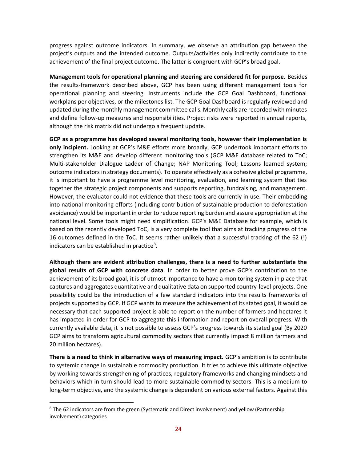progress against outcome indicators. In summary, we observe an attribution gap between the project's outputs and the intended outcome. Outputs/activities only indirectly contribute to the achievement of the final project outcome. The latter is congruent with GCP's broad goal.

**Management tools for operational planning and steering are considered fit for purpose.** Besides the results-framework described above, GCP has been using different management tools for operational planning and steering. Instruments include the GCP Goal Dashboard, functional workplans per objectives, or the milestones list. The GCP Goal Dashboard is regularly reviewed and updated during the monthly management committee calls. Monthly calls are recorded with minutes and define follow-up measures and responsibilities. Project risks were reported in annual reports, although the risk matrix did not undergo a frequent update.

**GCP as a programme has developed several monitoring tools, however their implementation is only incipient.** Looking at GCP's M&E efforts more broadly, GCP undertook important efforts to strengthen its M&E and develop different monitoring tools (GCP M&E database related to ToC; Multi-stakeholder Dialogue Ladder of Change; NAP Monitoring Tool; Lessons learned system; outcome indicators in strategy documents). To operate effectively as a cohesive global programme, it is important to have a programme level monitoring, evaluation, and learning system that ties together the strategic project components and supports reporting, fundraising, and management. However, the evaluator could not evidence that these tools are currently in use. Their embedding into national monitoring efforts (including contribution of sustainable production to deforestation avoidance) would be important in order to reduce reporting burden and assure appropriation at the national level. Some tools might need simplification. GCP's M&E Database for example, which is based on the recently developed ToC, is a very complete tool that aims at tracking progress of the 16 outcomes defined in the ToC. It seems rather unlikely that a successful tracking of the 62 (!) indicators can be established in practice<sup>8</sup>.

**Although there are evident attribution challenges, there is a need to further substantiate the global results of GCP with concrete data**. In order to better prove GCP's contribution to the achievement of its broad goal, it is of utmost importance to have a monitoring system in place that captures and aggregates quantitative and qualitative data on supported country-level projects. One possibility could be the introduction of a few standard indicators into the results frameworks of projects supported by GCP. If GCP wants to measure the achievement of its stated goal, it would be necessary that each supported project is able to report on the number of farmers and hectares it has impacted in order for GCP to aggregate this information and report on overall progress. With currently available data, it is not possible to assess GCP's progress towards its stated goal (By 2020 GCP aims to transform agricultural commodity sectors that currently impact 8 million farmers and 20 million hectares).

**There is a need to think in alternative ways of measuring impact.** GCP's ambition is to contribute to systemic change in sustainable commodity production. It tries to achieve this ultimate objective by working towards strengthening of practices, regulatory frameworks and changing mindsets and behaviors which in turn should lead to more sustainable commodity sectors. This is a medium to long-term objective, and the systemic change is dependent on various external factors. Against this

<sup>&</sup>lt;sup>8</sup> The 62 indicators are from the green (Systematic and Direct involvement) and yellow (Partnership involvement) categories.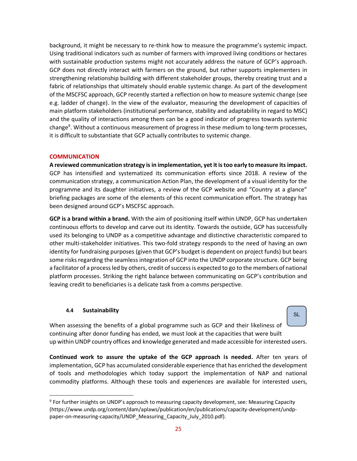background, it might be necessary to re-think how to measure the programme's systemic impact. Using traditional indicators such as number of farmers with improved living conditions or hectares with sustainable production systems might not accurately address the nature of GCP's approach. GCP does not directly interact with farmers on the ground, but rather supports implementers in strengthening relationship building with different stakeholder groups, thereby creating trust and a fabric of relationships that ultimately should enable systemic change. As part of the development of the MSCFSC approach, GCP recently started a reflection on how to measure systemic change (see e.g. ladder of change). In the view of the evaluator, measuring the development of capacities of main platform stakeholders (institutional performance, stability and adaptability in regard to MSC) and the quality of interactions among them can be a good indicator of progress towards systemic change<sup>9</sup>. Without a continuous measurement of progress in these medium to long-term processes, it is difficult to substantiate that GCP actually contributes to systemic change.

## **COMMUNICATION**

**A reviewed communication strategy is in implementation, yet it is too early to measure its impact.**  GCP has intensified and systematized its communication efforts since 2018. A review of the communication strategy, a communication Action Plan, the development of a visual identity for the programme and its daughter initiatives, a review of the GCP website and "Country at a glance" briefing packages are some of the elements of this recent communication effort. The strategy has been designed around GCP's MSCFSC approach.

**GCP is a brand within a brand.** With the aim of positioning itself within UNDP, GCP has undertaken continuous efforts to develop and carve out its identity. Towards the outside, GCP has successfully used its belonging to UNDP as a competitive advantage and distinctive characteristic compared to other multi-stakeholder initiatives. This two-fold strategy responds to the need of having an own identity for fundraising purposes (given that GCP's budget is dependent on project funds) but bears some risks regarding the seamless integration of GCP into the UNDP corporate structure. GCP being a facilitator of a process led by others, credit of success is expected to go to the members of national platform processes. Striking the right balance between communicating on GCP's contribution and leaving credit to beneficiaries is a delicate task from a comms perspective.

## **4.4 Sustainability**

<span id="page-24-0"></span>When assessing the benefits of a global programme such as GCP and their likeliness of continuing after donor funding has ended, we must look at the capacities that were built up within UNDP country offices and knowledge generated and made accessible for interested users.

SL

**Continued work to assure the uptake of the GCP approach is needed.** After ten years of implementation, GCP has accumulated considerable experience that has enriched the development of tools and methodologies which today support the implementation of NAP and national commodity platforms. Although these tools and experiences are available for interested users,

<sup>&</sup>lt;sup>9</sup> For further insights on UNDP's approach to measuring capacity development, see: Measuring Capacity (https://www.undp.org/content/dam/aplaws/publication/en/publications/capacity-development/undppaper-on-measuring-capacity/UNDP\_Measuring\_Capacity\_July\_2010.pdf).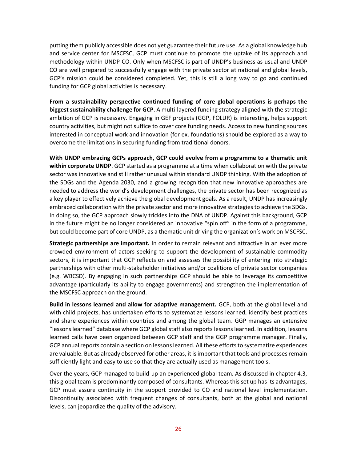putting them publicly accessible does not yet guarantee their future use. As a global knowledge hub and service center for MSCFSC, GCP must continue to promote the uptake of its approach and methodology within UNDP CO. Only when MSCFSC is part of UNDP's business as usual and UNDP CO are well prepared to successfully engage with the private sector at national and global levels, GCP's mission could be considered completed. Yet, this is still a long way to go and continued funding for GCP global activities is necessary.

**From a sustainability perspective continued funding of core global operations is perhaps the biggest sustainability challenge for GCP**. A multi-layered funding strategy aligned with the strategic ambition of GCP is necessary. Engaging in GEF projects (GGP, FOLUR) is interesting, helps support country activities, but might not suffice to cover core funding needs. Access to new funding sources interested in conceptual work and innovation (for ex. foundations) should be explored as a way to overcome the limitations in securing funding from traditional donors.

**With UNDP embracing GCPs approach, GCP could evolve from a programme to a thematic unit within corporate UNDP**. GCP started as a programme at a time when collaboration with the private sector was innovative and still rather unusual within standard UNDP thinking. With the adoption of the SDGs and the Agenda 2030, and a growing recognition that new innovative approaches are needed to address the world's development challenges, the private sector has been recognized as a key player to effectively achieve the global development goals. As a result, UNDP has increasingly embraced collaboration with the private sector and more innovative strategies to achieve the SDGs. In doing so, the GCP approach slowly trickles into the DNA of UNDP. Against this background, GCP in the future might be no longer considered an innovative "spin off" in the form of a programme, but could become part of core UNDP, as a thematic unit driving the organization's work on MSCFSC.

**Strategic partnerships are important.** In order to remain relevant and attractive in an ever more crowded environment of actors seeking to support the development of sustainable commodity sectors, it is important that GCP reflects on and assesses the possibility of entering into strategic partnerships with other multi-stakeholder initiatives and/or coalitions of private sector companies (e.g. WBCSD). By engaging in such partnerships GCP should be able to leverage its competitive advantage (particularly its ability to engage governments) and strengthen the implementation of the MSCFSC approach on the ground.

**Build in lessons learned and allow for adaptive management.** GCP, both at the global level and with child projects, has undertaken efforts to systematize lessons learned, identify best practices and share experiences within countries and among the global team. GGP manages an extensive "lessons learned" database where GCP global staff also reports lessons learned. In addition, lessons learned calls have been organized between GCP staff and the GGP programme manager. Finally, GCP annual reports contain a section on lessons learned. All these efforts to systematize experiences are valuable. But as already observed for other areas, it is important that tools and processes remain sufficiently light and easy to use so that they are actually used as management tools.

Over the years, GCP managed to build-up an experienced global team. As discussed in chapter 4.3, this global team is predominantly composed of consultants. Whereas this set up has its advantages, GCP must assure continuity in the support provided to CO and national level implementation. Discontinuity associated with frequent changes of consultants, both at the global and national levels, can jeopardize the quality of the advisory.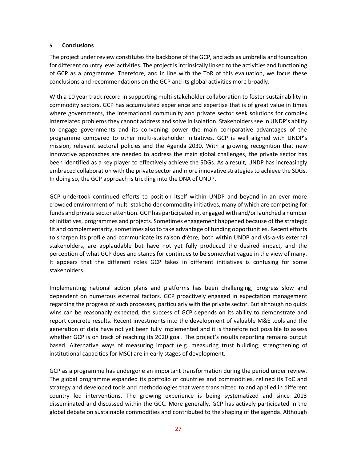## <span id="page-26-0"></span>**5 Conclusions**

The project under review constitutes the backbone of the GCP, and acts as umbrella and foundation for different country level activities. The project is intrinsically linked to the activities and functioning of GCP as a programme. Therefore, and in line with the ToR of this evaluation, we focus these conclusions and recommendations on the GCP and its global activities more broadly.

With a 10 year track record in supporting multi-stakeholder collaboration to foster sustainability in commodity sectors, GCP has accumulated experience and expertise that is of great value in times where governments, the international community and private sector seek solutions for complex interrelated problems they cannot address and solve in isolation. Stakeholders see in UNDP's ability to engage governments and its convening power the main comparative advantages of the programme compared to other multi-stakeholder initiatives. GCP is well aligned with UNDP's mission, relevant sectoral policies and the Agenda 2030. With a growing recognition that new innovative approaches are needed to address the main global challenges, the private sector has been identified as a key player to effectively achieve the SDGs. As a result, UNDP has increasingly embraced collaboration with the private sector and more innovative strategies to achieve the SDGs. In doing so, the GCP approach is trickling into the DNA of UNDP.

GCP undertook continued efforts to position itself within UNDP and beyond in an ever more crowded environment of multi-stakeholder commodity initiatives, many of which are competing for funds and private sector attention. GCP has participated in, engaged with and/or launched a number of initiatives, programmes and projects. Sometimes engagement happened because of the strategic fit and complementarity, sometimes also to take advantage of funding opportunities. Recent efforts to sharpen its profile and communicate its raison d'être, both within UNDP and vis-a-vis external stakeholders, are applaudable but have not yet fully produced the desired impact, and the perception of what GCP does and stands for continues to be somewhat vague in the view of many. It appears that the different roles GCP takes in different initiatives is confusing for some stakeholders.

Implementing national action plans and platforms has been challenging, progress slow and dependent on numerous external factors. GCP proactively engaged in expectation management regarding the progress of such processes, particularly with the private sector. But although no quick wins can be reasonably expected, the success of GCP depends on its ability to demonstrate and report concrete results. Recent investments into the development of valuable M&E tools and the generation of data have not yet been fully implemented and it is therefore not possible to assess whether GCP is on track of reaching its 2020 goal. The project's results reporting remains output based. Alternative ways of measuring impact (e.g. measuring trust building; strengthening of institutional capacities for MSC) are in early stages of development.

GCP as a programme has undergone an important transformation during the period under review. The global programme expanded its portfolio of countries and commodities, refined its ToC and strategy and developed tools and methodologies that were transmitted to and applied in different country led interventions. The growing experience is being systematized and since 2018 disseminated and discussed within the GCC. More generally, GCP has actively participated in the global debate on sustainable commodities and contributed to the shaping of the agenda. Although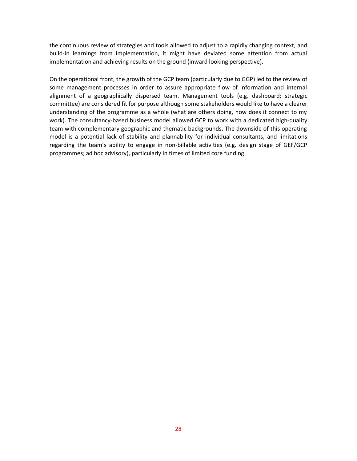the continuous review of strategies and tools allowed to adjust to a rapidly changing context, and build-in learnings from implementation, it might have deviated some attention from actual implementation and achieving results on the ground (inward looking perspective).

On the operational front, the growth of the GCP team (particularly due to GGP) led to the review of some management processes in order to assure appropriate flow of information and internal alignment of a geographically dispersed team. Management tools (e.g. dashboard; strategic committee) are considered fit for purpose although some stakeholders would like to have a clearer understanding of the programme as a whole (what are others doing, how does it connect to my work). The consultancy-based business model allowed GCP to work with a dedicated high-quality team with complementary geographic and thematic backgrounds. The downside of this operating model is a potential lack of stability and plannability for individual consultants, and limitations regarding the team's ability to engage in non-billable activities (e.g. design stage of GEF/GCP programmes; ad hoc advisory), particularly in times of limited core funding.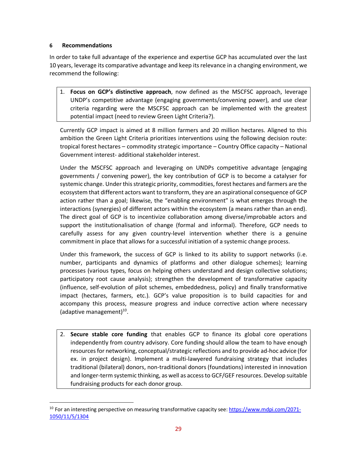## <span id="page-28-0"></span>**6 Recommendations**

In order to take full advantage of the experience and expertise GCP has accumulated over the last 10 years, leverage its comparative advantage and keep its relevance in a changing environment, we recommend the following:

1. **Focus on GCP's distinctive approach**, now defined as the MSCFSC approach, leverage UNDP's competitive advantage (engaging governments/convening power), and use clear criteria regarding were the MSCFSC approach can be implemented with the greatest potential impact (need to review Green Light Criteria?).

Currently GCP impact is aimed at 8 million farmers and 20 million hectares. Aligned to this ambition the Green Light Criteria prioritizes interventions using the following decision route: tropical forest hectares – commodity strategic importance – Country Office capacity – National Government interest- additional stakeholder interest.

Under the MSCFSC approach and leveraging on UNDPs competitive advantage (engaging governments / convening power), the key contribution of GCP is to become a catalyser for systemic change. Under this strategic priority, commodities, forest hectares and farmers are the ecosystem that different actors want to transform, they are an aspirational consequence of GCP action rather than a goal; likewise, the "enabling environment" is what emerges through the interactions (synergies) of different actors within the ecosystem (a means rather than an end). The direct goal of GCP is to incentivize collaboration among diverse/improbable actors and support the institutionalisation of change (formal and informal). Therefore, GCP needs to carefully assess for any given country-level intervention whether there is a genuine commitment in place that allows for a successful initiation of a systemic change process.

Under this framework, the success of GCP is linked to its ability to support networks (i.e. number, participants and dynamics of platforms and other dialogue schemes); learning processes (various types, focus on helping others understand and design collective solutions; participatory root cause analysis); strengthen the development of transformative capacity (influence, self-evolution of pilot schemes, embeddedness, policy) and finally transformative impact (hectares, farmers, etc.). GCP's value proposition is to build capacities for and accompany this process, measure progress and induce corrective action where necessary (adaptive management)<sup>10</sup>.

2. **Secure stable core funding** that enables GCP to finance its global core operations independently from country advisory. Core funding should allow the team to have enough resources for networking, conceptual/strategic reflections and to provide ad-hoc advice (for ex. in project design). Implement a multi-lawyered fundraising strategy that includes traditional (bilateral) donors, non-traditional donors (foundations) interested in innovation and longer-term systemic thinking, as well as access to GCF/GEF resources. Develop suitable fundraising products for each donor group.

<sup>&</sup>lt;sup>10</sup> For an interesting perspective on measuring transformative capacity see[: https://www.mdpi.com/2071-](https://www.mdpi.com/2071-1050/11/5/1304) [1050/11/5/1304](https://www.mdpi.com/2071-1050/11/5/1304)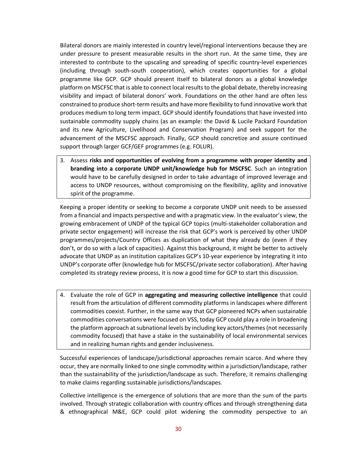Bilateral donors are mainly interested in country level/regional interventions because they are under pressure to present measurable results in the short run. At the same time, they are interested to contribute to the upscaling and spreading of specific country-level experiences (including through south-south cooperation), which creates opportunities for a global programme like GCP. GCP should present itself to bilateral donors as a global knowledge platform on MSCFSC that is able to connect local resultsto the global debate, thereby increasing visibility and impact of bilateral donors' work. Foundations on the other hand are often less constrained to produce short-term results and have more flexibility to fund innovative work that produces medium to long term impact. GCP should identify foundations that have invested into sustainable commodity supply chains (as an example: the David & Lucile Packard Foundation and its new Agriculture, Livelihood and Conservation Program) and seek support for the advancement of the MSCFSC approach. Finally, GCP should concretize and assure continued support through larger GCF/GEF programmes (e.g. FOLUR).

3. Assess **risks and opportunities of evolving from a programme with proper identity and branding into a corporate UNDP unit/knowledge hub for MSCFSC**. Such an integration would have to be carefully designed in order to take advantage of improved leverage and access to UNDP resources, without compromising on the flexibility, agility and innovative spirit of the programme.

Keeping a proper identity or seeking to become a corporate UNDP unit needs to be assessed from a financial and impacts perspective and with a pragmatic view. In the evaluator's view, the growing embracement of UNDP of the typical GCP topics (multi-stakeholder collaboration and private sector engagement) will increase the risk that GCP's work is perceived by other UNDP programmes/projects/Country Offices as duplication of what they already do (even if they don't, or do so with a lack of capacities). Against this background, it might be better to actively advocate that UNDP as an institution capitalizes GCP's 10-year experience by integrating it into UNDP's corporate offer (knowledge hub for MSCFSC/private sector collaboration). After having completed its strategy review process, it is now a good time for GCP to start this discussion.

4. Evaluate the role of GCP in **aggregating and measuring collective intelligence** that could result from the articulation of different commodity platforms in landscapes where different commodities coexist. Further, in the same way that GCP pioneered NCPs when sustainable commodities conversations were focused on VSS, today GCP could play a role in broadening the platform approach at subnational levels by including key actors/themes(not necessarily commodity focused) that have a stake in the sustainability of local environmental services and in realizing human rights and gender inclusiveness.

Successful experiences of landscape/jurisdictional approaches remain scarce. And where they occur, they are normally linked to one single commodity within a jurisdiction/landscape, rather than the sustainability of the jurisdiction/landscape as such. Therefore, it remains challenging to make claims regarding sustainable jurisdictions/landscapes.

Collective intelligence is the emergence of solutions that are more than the sum of the parts involved. Through strategic collaboration with country offices and through strengthening data & ethnographical M&E, GCP could pilot widening the commodity perspective to an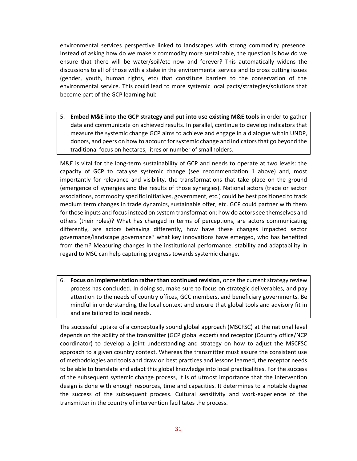environmental services perspective linked to landscapes with strong commodity presence. Instead of asking how do we make x commodity more sustainable, the question is how do we ensure that there will be water/soil/etc now and forever? This automatically widens the discussions to all of those with a stake in the environmental service and to cross cutting issues (gender, youth, human rights, etc) that constitute barriers to the conservation of the environmental service. This could lead to more systemic local pacts/strategies/solutions that become part of the GCP learning hub

5. **Embed M&E into the GCP strategy and put into use existing M&E tools** in order to gather data and communicate on achieved results. In parallel, continue to develop indicators that measure the systemic change GCP aims to achieve and engage in a dialogue within UNDP, donors, and peers on how to account for systemic change and indicators that go beyond the traditional focus on hectares, litres or number of smallholders.

M&E is vital for the long-term sustainability of GCP and needs to operate at two levels: the capacity of GCP to catalyse systemic change (see recommendation 1 above) and, most importantly for relevance and visibility, the transformations that take place on the ground (emergence of synergies and the results of those synergies). National actors (trade or sector associations, commodity specific initiatives, government, etc.) could be best positioned to track medium term changes in trade dynamics, sustainable offer, etc. GCP could partner with them for those inputs and focus instead on system transformation: how do actors see themselves and others (their roles)? What has changed in terms of perceptions, are actors communicating differently, are actors behaving differently, how have these changes impacted sector governance/landscape governance? what key innovations have emerged, who has benefited from them? Measuring changes in the institutional performance, stability and adaptability in regard to MSC can help capturing progress towards systemic change.

6. **Focus on implementation rather than continued revision,** once the currentstrategy review process has concluded. In doing so, make sure to focus on strategic deliverables, and pay attention to the needs of country offices, GCC members, and beneficiary governments. Be mindful in understanding the local context and ensure that global tools and advisory fit in and are tailored to local needs.

The successful uptake of a conceptually sound global approach (MSCFSC) at the national level depends on the ability of the transmitter (GCP global expert) and receptor (Country office/NCP coordinator) to develop a joint understanding and strategy on how to adjust the MSCFSC approach to a given country context. Whereas the transmitter must assure the consistent use of methodologies and tools and draw on best practices and lessons learned, the receptor needs to be able to translate and adapt this global knowledge into local practicalities. For the success of the subsequent systemic change process, it is of utmost importance that the intervention design is done with enough resources, time and capacities. It determines to a notable degree the success of the subsequent process. Cultural sensitivity and work-experience of the transmitter in the country of intervention facilitates the process.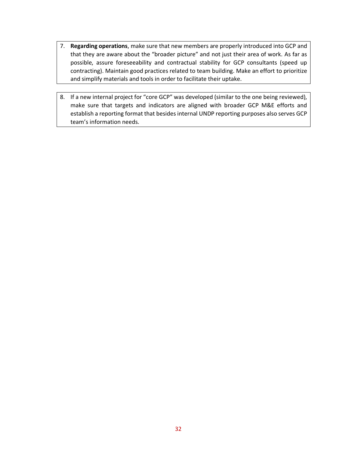- 7. **Regarding operations**, make sure that new members are properly introduced into GCP and that they are aware about the "broader picture" and not just their area of work. As far as possible, assure foreseeability and contractual stability for GCP consultants (speed up contracting). Maintain good practices related to team building. Make an effort to prioritize and simplify materials and tools in order to facilitate their uptake.
- 8. If a new internal project for "core GCP" was developed (similar to the one being reviewed), make sure that targets and indicators are aligned with broader GCP M&E efforts and establish a reporting format that besides internal UNDP reporting purposes also serves GCP team's information needs.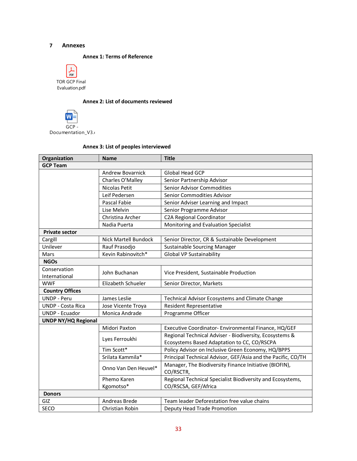## <span id="page-32-1"></span><span id="page-32-0"></span>**7 Annexes**

#### **Annex 1: Terms of Reference**



## **Annex 2: List of documents reviewed**

<span id="page-32-2"></span>

## **Annex 3: List of peoples interviewed**

<span id="page-32-3"></span>

| Organization               | <b>Name</b>                 | <b>Title</b>                                                 |  |  |
|----------------------------|-----------------------------|--------------------------------------------------------------|--|--|
| <b>GCP Team</b>            |                             |                                                              |  |  |
|                            | <b>Andrew Bovarnick</b>     | Global Head GCP                                              |  |  |
|                            | Charles O'Malley            | Senior Partnership Advisor                                   |  |  |
|                            | Nicolas Petit               | Senior Advisor Commodities                                   |  |  |
|                            | Leif Pedersen               | Senior Commodities Advisor                                   |  |  |
|                            | Pascal Fabie                | Senior Adviser Learning and Impact                           |  |  |
|                            | Lise Melvin                 | Senior Programme Advisor                                     |  |  |
|                            | Christina Archer            | <b>C2A Regional Coordinator</b>                              |  |  |
|                            | Nadia Puerta                | Monitoring and Evaluation Specialist                         |  |  |
| <b>Private sector</b>      |                             |                                                              |  |  |
| Cargill                    | <b>Nick Martell Bundock</b> | Senior Director, CR & Sustainable Development                |  |  |
| Unilever                   | Rauf Prasodjo               | <b>Sustainable Sourcing Manager</b>                          |  |  |
| Mars                       | Kevin Rabinovitch*          | <b>Global VP Sustainability</b>                              |  |  |
| <b>NGOs</b>                |                             |                                                              |  |  |
| Conservation               |                             |                                                              |  |  |
| International              | John Buchanan               | Vice President, Sustainable Production                       |  |  |
| <b>WWF</b>                 | Elizabeth Schueler          | Senior Director, Markets                                     |  |  |
| <b>Country Offices</b>     |                             |                                                              |  |  |
| <b>UNDP - Peru</b>         | James Leslie                | Technical Advisor Ecosystems and Climate Change              |  |  |
| <b>UNDP - Costa Rica</b>   | Jose Vicente Troya          | <b>Resident Representative</b>                               |  |  |
| <b>UNDP - Ecuador</b>      | Monica Andrade              | Programme Officer                                            |  |  |
| <b>UNDP NY/HQ Regional</b> |                             |                                                              |  |  |
|                            | Midori Paxton               | Executive Coordinator- Environmental Finance, HQ/GEF         |  |  |
|                            | Lyes Ferroukhi              | Regional Technical Adviser - Biodiversity, Ecosystems &      |  |  |
|                            |                             | Ecosystems Based Adaptation to CC, CO/RSCPA                  |  |  |
|                            | Tim Scott*                  | Policy Advisor on Inclusive Green Economy, HQ/BPPS           |  |  |
|                            | Srilata Kammila*            | Principal Technical Advisor, GEF/Asia and the Pacific, CO/TH |  |  |
|                            | Onno Van Den Heuvel*        | Manager, The Biodiversity Finance Initiative (BIOFIN),       |  |  |
|                            |                             | CO/RSCTR,                                                    |  |  |
|                            | Phemo Karen                 | Regional Technical Specialist Biodiversity and Ecosystems,   |  |  |
|                            | Kgomotso*                   | CO/RSCSA, GEF/Africa                                         |  |  |
| <b>Donors</b>              |                             |                                                              |  |  |
| GIZ                        | Andreas Brede               | Team leader Deforestation free value chains                  |  |  |
| SECO                       | Christian Robin             | Deputy Head Trade Promotion                                  |  |  |